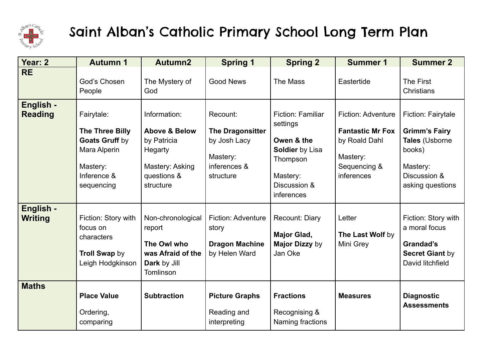

## Saint Alban's Catholic Primary School Long Term Plan

| Year: 2                     | <b>Autumn 1</b>                                                                                          | Autumn2                                                                                                           | <b>Spring 1</b>                                                                       | <b>Spring 2</b>                                                                                                                    | <b>Summer 1</b>                                                                                                 | <b>Summer 2</b>                                                                                                        |
|-----------------------------|----------------------------------------------------------------------------------------------------------|-------------------------------------------------------------------------------------------------------------------|---------------------------------------------------------------------------------------|------------------------------------------------------------------------------------------------------------------------------------|-----------------------------------------------------------------------------------------------------------------|------------------------------------------------------------------------------------------------------------------------|
| <b>RE</b>                   | God's Chosen<br>People                                                                                   | The Mystery of<br>God                                                                                             | <b>Good News</b>                                                                      | The Mass                                                                                                                           | Eastertide                                                                                                      | The First<br>Christians                                                                                                |
| English -<br><b>Reading</b> | Fairytale:<br>The Three Billy<br>Goats Gruff by<br>Mara Alperin<br>Mastery:<br>Inference &<br>sequencing | Information:<br><b>Above &amp; Below</b><br>by Patricia<br>Hegarty<br>Mastery: Asking<br>questions &<br>structure | Recount:<br>The Dragonsitter<br>by Josh Lacy<br>Mastery:<br>inferences &<br>structure | <b>Fiction: Familiar</b><br>settings<br>Owen & the<br><b>Soldier</b> by Lisa<br>Thompson<br>Mastery:<br>Discussion &<br>inferences | <b>Fiction: Adventure</b><br><b>Fantastic Mr Fox</b><br>by Roald Dahl<br>Mastery:<br>Sequencing &<br>inferences | Fiction: Fairytale<br><b>Grimm's Fairy</b><br>Tales (Usborne<br>books)<br>Mastery:<br>Discussion &<br>asking questions |
| English -<br><b>Writing</b> | Fiction: Story with<br>focus on<br>characters<br><b>Troll Swap by</b><br>Leigh Hodgkinson                | Non-chronological<br>report<br>The Owl who<br>was Afraid of the<br>Dark by Jill<br>Tomlinson                      | <b>Fiction: Adventure</b><br>story<br><b>Dragon Machine</b><br>by Helen Ward          | Recount: Diary<br><b>Major Glad,</b><br>Major Dizzy by<br>Jan Oke                                                                  | Letter<br>The Last Wolf by<br>Mini Grey                                                                         | Fiction: Story with<br>a moral focus<br>Grandad's<br><b>Secret Giant by</b><br>David litchfield                        |
| <b>Maths</b>                | <b>Place Value</b><br>Ordering,<br>comparing                                                             | <b>Subtraction</b>                                                                                                | <b>Picture Graphs</b><br>Reading and<br>interpreting                                  | <b>Fractions</b><br>Recognising &<br>Naming fractions                                                                              | <b>Measures</b>                                                                                                 | <b>Diagnostic</b><br><b>Assessments</b>                                                                                |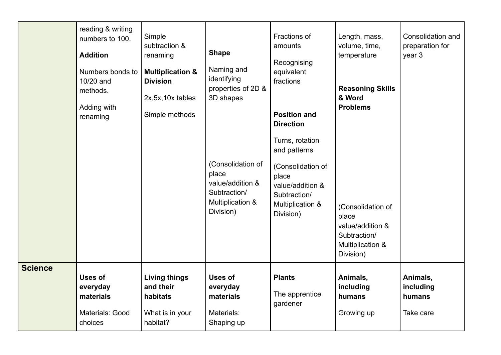|                | reading & writing<br>numbers to 100.<br><b>Addition</b><br>Numbers bonds to<br>10/20 and<br>methods.<br>Adding with<br>renaming | Simple<br>subtraction &<br>renaming<br><b>Multiplication &amp;</b><br><b>Division</b><br>2x, 5x, 10x tables<br>Simple methods | <b>Shape</b><br>Naming and<br>identifying<br>properties of 2D &<br>3D shapes<br>(Consolidation of<br>place<br>value/addition &<br>Subtraction/<br><b>Multiplication &amp;</b><br>Division) | Fractions of<br>amounts<br>Recognising<br>equivalent<br>fractions<br><b>Position and</b><br><b>Direction</b><br>Turns, rotation<br>and patterns<br>(Consolidation of<br>place<br>value/addition &<br>Subtraction/<br>Multiplication &<br>Division) | Length, mass,<br>volume, time,<br>temperature<br><b>Reasoning Skills</b><br>& Word<br><b>Problems</b><br>(Consolidation of<br>place<br>value/addition &<br>Subtraction/<br>Multiplication &<br>Division) | Consolidation and<br>preparation for<br>year 3 |
|----------------|---------------------------------------------------------------------------------------------------------------------------------|-------------------------------------------------------------------------------------------------------------------------------|--------------------------------------------------------------------------------------------------------------------------------------------------------------------------------------------|----------------------------------------------------------------------------------------------------------------------------------------------------------------------------------------------------------------------------------------------------|----------------------------------------------------------------------------------------------------------------------------------------------------------------------------------------------------------|------------------------------------------------|
| <b>Science</b> | <b>Uses of</b><br>everyday<br>materials<br>Materials: Good<br>choices                                                           | <b>Living things</b><br>and their<br>habitats<br>What is in your<br>habitat?                                                  | <b>Uses of</b><br>everyday<br>materials<br>Materials:<br>Shaping up                                                                                                                        | <b>Plants</b><br>The apprentice<br>gardener                                                                                                                                                                                                        | Animals,<br>including<br>humans<br>Growing up                                                                                                                                                            | Animals,<br>including<br>humans<br>Take care   |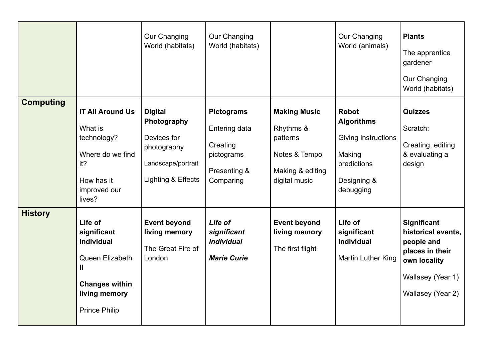|                  |                                                                                                                                                  | Our Changing<br>World (habitats)                                                                        | Our Changing<br>World (habitats)                                                          |                                                                                                    | Our Changing<br>World (animals)                                                                               | <b>Plants</b><br>The apprentice<br>gardener<br>Our Changing<br>World (habitats)                                                     |
|------------------|--------------------------------------------------------------------------------------------------------------------------------------------------|---------------------------------------------------------------------------------------------------------|-------------------------------------------------------------------------------------------|----------------------------------------------------------------------------------------------------|---------------------------------------------------------------------------------------------------------------|-------------------------------------------------------------------------------------------------------------------------------------|
| <b>Computing</b> | <b>IT All Around Us</b><br>What is<br>technology?<br>Where do we find<br>it?<br>How has it<br>improved our<br>lives?                             | <b>Digital</b><br>Photography<br>Devices for<br>photography<br>Landscape/portrait<br>Lighting & Effects | <b>Pictograms</b><br>Entering data<br>Creating<br>pictograms<br>Presenting &<br>Comparing | <b>Making Music</b><br>Rhythms &<br>patterns<br>Notes & Tempo<br>Making & editing<br>digital music | <b>Robot</b><br><b>Algorithms</b><br>Giving instructions<br>Making<br>predictions<br>Designing &<br>debugging | <b>Quizzes</b><br>Scratch:<br>Creating, editing<br>& evaluating a<br>design                                                         |
| <b>History</b>   | Life of<br>significant<br><b>Individual</b><br>Queen Elizabeth<br>$\mathbf{I}$<br><b>Changes within</b><br>living memory<br><b>Prince Philip</b> | <b>Event beyond</b><br>living memory<br>The Great Fire of<br>London                                     | Life of<br>significant<br>individual<br><b>Marie Curie</b>                                | <b>Event beyond</b><br>living memory<br>The first flight                                           | Life of<br>significant<br>individual<br>Martin Luther King                                                    | <b>Significant</b><br>historical events,<br>people and<br>places in their<br>own locality<br>Wallasey (Year 1)<br>Wallasey (Year 2) |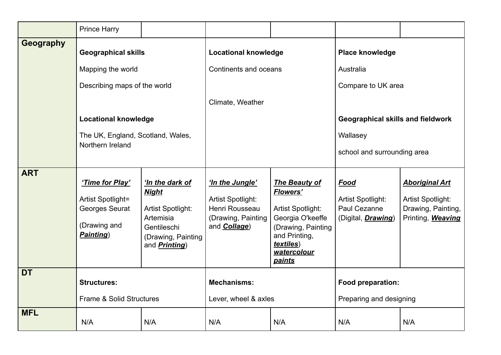|            | <b>Prince Harry</b>                                                                 |                                                                                                                                 |                                                                                                      |                                                                                                                                                                       |                                                                         |                                                                                              |
|------------|-------------------------------------------------------------------------------------|---------------------------------------------------------------------------------------------------------------------------------|------------------------------------------------------------------------------------------------------|-----------------------------------------------------------------------------------------------------------------------------------------------------------------------|-------------------------------------------------------------------------|----------------------------------------------------------------------------------------------|
| Geography  | <b>Geographical skills</b>                                                          |                                                                                                                                 | <b>Locational knowledge</b>                                                                          |                                                                                                                                                                       | Place knowledge                                                         |                                                                                              |
|            | Mapping the world                                                                   |                                                                                                                                 | Continents and oceans                                                                                |                                                                                                                                                                       | Australia                                                               |                                                                                              |
|            | Describing maps of the world                                                        |                                                                                                                                 |                                                                                                      |                                                                                                                                                                       | Compare to UK area                                                      |                                                                                              |
|            |                                                                                     |                                                                                                                                 | Climate, Weather                                                                                     |                                                                                                                                                                       |                                                                         |                                                                                              |
|            | <b>Locational knowledge</b><br>The UK, England, Scotland, Wales,                    |                                                                                                                                 |                                                                                                      |                                                                                                                                                                       | Geographical skills and fieldwork                                       |                                                                                              |
|            |                                                                                     |                                                                                                                                 |                                                                                                      |                                                                                                                                                                       | Wallasey                                                                |                                                                                              |
|            | Northern Ireland                                                                    |                                                                                                                                 |                                                                                                      |                                                                                                                                                                       | school and surrounding area                                             |                                                                                              |
| <b>ART</b> | 'Time for Play'<br>Artist Spotlight=<br>Georges Seurat<br>(Drawing and<br>Painting) | 'In the dark of<br><b>Night</b><br>Artist Spotlight:<br>Artemisia<br>Gentileschi<br>(Drawing, Painting<br>and <b>Printing</b> ) | 'In the Jungle'<br>Artist Spotlight:<br>Henri Rousseau<br>(Drawing, Painting<br>and <b>Collage</b> ) | The Beauty of<br><b>Flowers'</b><br>Artist Spotlight:<br>Georgia O'keeffe<br>(Drawing, Painting<br>and Printing,<br><i>textiles</i> )<br>watercolour<br><b>paints</b> | Food<br>Artist Spotlight:<br>Paul Cezanne<br>(Digital, <i>Drawing</i> ) | <b>Aboriginal Art</b><br>Artist Spotlight:<br>Drawing, Painting,<br>Printing, <b>Weaving</b> |
| <b>DT</b>  | <b>Structures:</b>                                                                  |                                                                                                                                 | <b>Mechanisms:</b>                                                                                   |                                                                                                                                                                       | Food preparation:                                                       |                                                                                              |
|            | Frame & Solid Structures                                                            |                                                                                                                                 | Lever, wheel & axles                                                                                 |                                                                                                                                                                       | Preparing and designing                                                 |                                                                                              |
| <b>MFL</b> | N/A                                                                                 | N/A                                                                                                                             | N/A                                                                                                  | N/A                                                                                                                                                                   | N/A                                                                     | N/A                                                                                          |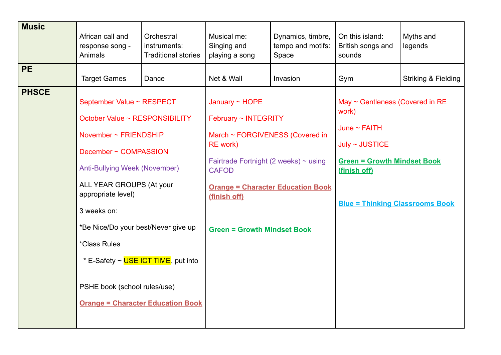| <b>Music</b> | African call and<br>response song -<br>Animals                                                                                                                                                                                                                                                                                                                          | Orchestral<br>instruments:<br><b>Traditional stories</b> | Musical me:<br>Singing and<br>playing a song                                                                                                                                                                | Dynamics, timbre,<br>tempo and motifs:<br>Space | On this island:<br>British songs and<br>sounds                                                                                                                                       | Myths and<br>legends |
|--------------|-------------------------------------------------------------------------------------------------------------------------------------------------------------------------------------------------------------------------------------------------------------------------------------------------------------------------------------------------------------------------|----------------------------------------------------------|-------------------------------------------------------------------------------------------------------------------------------------------------------------------------------------------------------------|-------------------------------------------------|--------------------------------------------------------------------------------------------------------------------------------------------------------------------------------------|----------------------|
| <b>PE</b>    | <b>Target Games</b>                                                                                                                                                                                                                                                                                                                                                     | Dance                                                    | Net & Wall                                                                                                                                                                                                  | Invasion                                        | Gym                                                                                                                                                                                  | Striking & Fielding  |
| <b>PHSCE</b> | September Value ~ RESPECT<br>October Value ~ RESPONSIBILITY<br>November $\sim$ FRIENDSHIP<br>December ~ COMPASSION<br><b>Anti-Bullying Week (November)</b><br>ALL YEAR GROUPS (At your<br>appropriate level)<br>3 weeks on:<br>*Be Nice/Do your best/Never give up<br><i><b>*Class Rules</b></i><br>* E-Safety ~ USE ICT TIME, put into<br>PSHE book (school rules/use) | <b>Orange = Character Education Book</b>                 | January ~ HOPE<br>February ~ INTEGRITY<br>March ~ FORGIVENESS (Covered in<br><b>RE</b> work)<br>Fairtrade Fortnight (2 weeks) ~ using<br><b>CAFOD</b><br>(finish off)<br><b>Green = Growth Mindset Book</b> | <b>Orange = Character Education Book</b>        | May $\sim$ Gentleness (Covered in RE<br>work)<br>June $\sim$ FAITH<br>July ~ JUSTICE<br><b>Green = Growth Mindset Book</b><br>(finish off)<br><b>Blue = Thinking Classrooms Book</b> |                      |